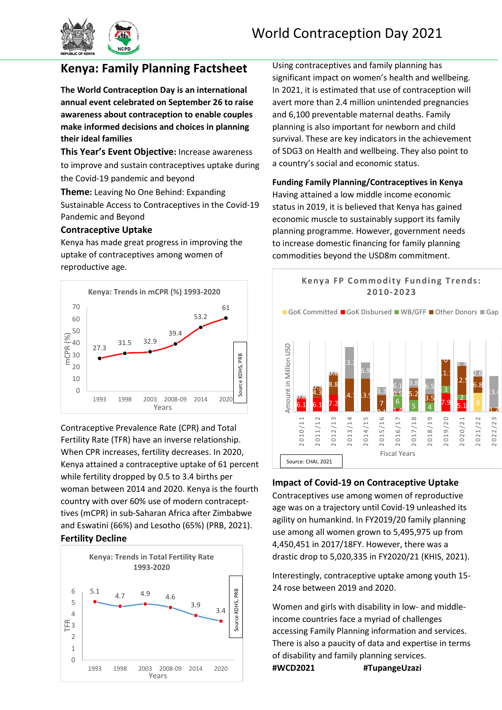

# **Kenya: Family Planning Factsheet**

**The World Contraception Day is an international annual event celebrated on September 26 to raise awareness about contraception to enable couples make informed decisions and choices in planning their ideal families**

**This Year's Event Objective:** Increase awareness to improve and sustain contraceptives uptake during the Covid-19 pandemic and beyond

**Theme:** Leaving No One Behind: Expanding Sustainable Access to Contraceptives in the Covid-19 Pandemic and Beyond

## **Contraceptive Uptake**

Kenya has made great progress in improving the uptake of contraceptives among women of reproductive age.



Contraceptive Prevalence Rate (CPR) and Total Fertility Rate (TFR) have an inverse relationship. When CPR increases, fertility decreases. In 2020, Kenya attained a contraceptive uptake of 61 percent while fertility dropped by 0.5 to 3.4 births per woman between 2014 and 2020. Kenya is the fourth country with over 60% use of modern contracepttives (mCPR) in sub-Saharan Africa after Zimbabwe and Eswatini (66%) and Lesotho (65%) (PRB, 2021). **Fertility Decline** Bad SHOM and Show and Show and Show and Show and Show and Show and Show and Show and Show and Show and Show and Show and Show and Show and Show and Show and Show and Show and Show and S





Using contraceptives and family planning has significant impact on women's health and wellbeing. In 2021, it is estimated that use of contraception will avert more than 2.4 million unintended pregnancies and 6,100 preventable maternal deaths. Family planning is also important for newborn and child survival. These are key indicators in the achievement of SDG3 on Health and wellbeing. They also point to a country's social and economic status.

#### **Funding Family Planning/Contraceptives in Kenya**

Having attained a low middle income economic status in 2019, it is believed that Kenya has gained economic muscle to sustainably support its family planning programme. However, government needs to increase domestic financing for family planning commodities beyond the USD8m commitment.



## **Impact of Covid-19 on Contraceptive Uptake**

Contraceptives use among women of reproductive age was on a trajectory until Covid-19 unleashed its agility on humankind. In FY2019/20 family planning use among all women grown to 5,495,975 up from 4,450,451 in 2017/18FY. However, there was a drastic drop to 5,020,335 in FY2020/21 (KHIS, 2021).

Interestingly, contraceptive uptake among youth 15- 24 rose between 2019 and 2020.

Women and girls with disability in low- and middleincome countries face a myriad of challenges accessing Family Planning information and services. There is also a paucity of data and expertise in terms of disability and family planning services. **#WCD2021 #TupangeUzazi**